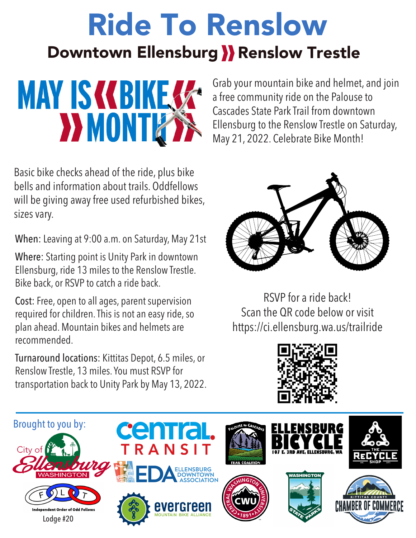# Ride To Renslow Downtown Ellensburg >>>> Renslow Trestle



Basic bike checks ahead of the ride, plus bike bells and information about trails. Oddfellows will be giving away free used refurbished bikes, sizes vary.

When: Leaving at 9:00 a.m. on Saturday, May 21st

Where: Starting point is Unity Park in downtown Ellensburg, ride 13 miles to the Renslow Trestle. Bike back, or RSVP to catch a ride back.

Cost: Free, open to all ages, parent supervision required for children. This is not an easy ride, so plan ahead. Mountain bikes and helmets are recommended.

Turnaround locations: Kittitas Depot, 6.5 miles, or Renslow Trestle, 13 miles. You must RSVP for transportation back to Unity Park by May 13, 2022.

Grab your mountain bike and helmet, and join a free community ride on the Palouse to Cascades State Park Trail from downtown Ellensburg to the Renslow Trestle on Saturday, May 21, 2022. Celebrate Bike Month!



RSVP for a ride back! Scan the QR code below or visit https://ci.ellensburg.wa.us/trailride